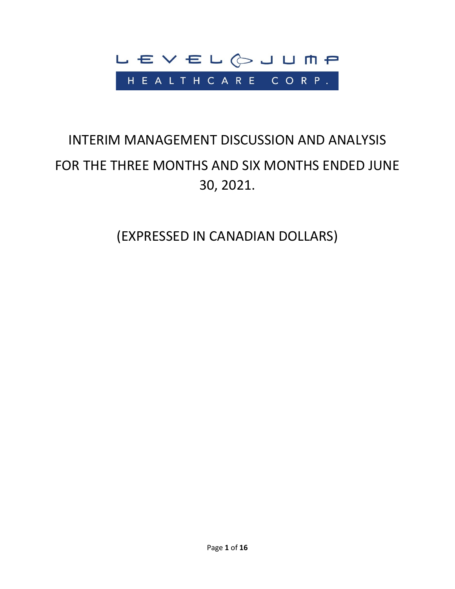

# INTERIM MANAGEMENT DISCUSSION AND ANALYSIS FOR THE THREE MONTHS AND SIX MONTHS ENDED JUNE 30, 2021.

(EXPRESSED IN CANADIAN DOLLARS)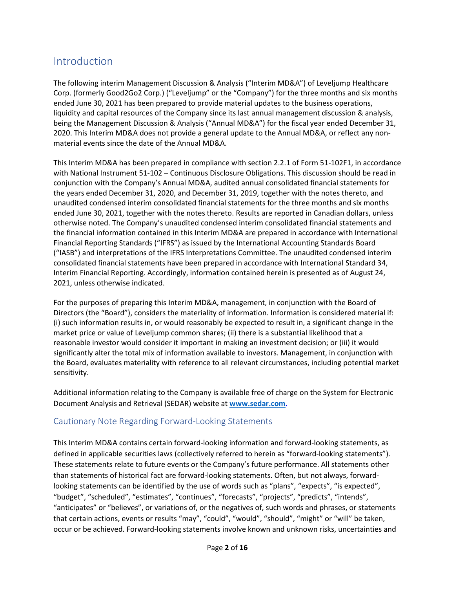# Introduction

The following interim Management Discussion & Analysis ("Interim MD&A") of Leveljump Healthcare Corp. (formerly Good2Go2 Corp.) ("Leveljump" or the "Company") for the three months and six months ended June 30, 2021 has been prepared to provide material updates to the business operations, liquidity and capital resources of the Company since its last annual management discussion & analysis, being the Management Discussion & Analysis ("Annual MD&A") for the fiscal year ended December 31, 2020. This Interim MD&A does not provide a general update to the Annual MD&A, or reflect any nonmaterial events since the date of the Annual MD&A.

This Interim MD&A has been prepared in compliance with section 2.2.1 of Form 51-102F1, in accordance with National Instrument 51-102 – Continuous Disclosure Obligations. This discussion should be read in conjunction with the Company's Annual MD&A, audited annual consolidated financial statements for the years ended December 31, 2020, and December 31, 2019, together with the notes thereto, and unaudited condensed interim consolidated financial statements for the three months and six months ended June 30, 2021, together with the notes thereto. Results are reported in Canadian dollars, unless otherwise noted. The Company's unaudited condensed interim consolidated financial statements and the financial information contained in this Interim MD&A are prepared in accordance with International Financial Reporting Standards ("IFRS") as issued by the International Accounting Standards Board ("IASB") and interpretations of the IFRS Interpretations Committee. The unaudited condensed interim consolidated financial statements have been prepared in accordance with International Standard 34, Interim Financial Reporting. Accordingly, information contained herein is presented as of August 24, 2021, unless otherwise indicated.

For the purposes of preparing this Interim MD&A, management, in conjunction with the Board of Directors (the "Board"), considers the materiality of information. Information is considered material if: (i) such information results in, or would reasonably be expected to result in, a significant change in the market price or value of Leveljump common shares; (ii) there is a substantial likelihood that a reasonable investor would consider it important in making an investment decision; or (iii) it would significantly alter the total mix of information available to investors. Management, in conjunction with the Board, evaluates materiality with reference to all relevant circumstances, including potential market sensitivity.

Additional information relating to the Company is available free of charge on the System for Electronic Document Analysis and Retrieval (SEDAR) website at **[www.sedar.com.](http://www.sedar.com/)**

# Cautionary Note Regarding Forward-Looking Statements

This Interim MD&A contains certain forward-looking information and forward-looking statements, as defined in applicable securities laws (collectively referred to herein as "forward-looking statements"). These statements relate to future events or the Company's future performance. All statements other than statements of historical fact are forward-looking statements. Often, but not always, forwardlooking statements can be identified by the use of words such as "plans", "expects", "is expected", "budget", "scheduled", "estimates", "continues", "forecasts", "projects", "predicts", "intends", "anticipates" or "believes", or variations of, or the negatives of, such words and phrases, or statements that certain actions, events or results "may", "could", "would", "should", "might" or "will" be taken, occur or be achieved. Forward-looking statements involve known and unknown risks, uncertainties and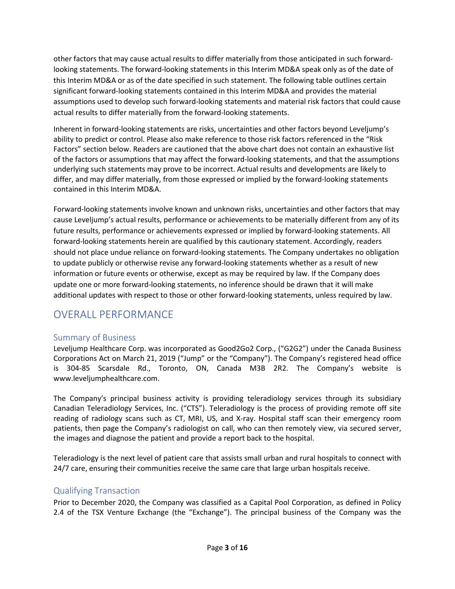other factors that may cause actual results to differ materially from those anticipated in such forwardlooking statements. The forward-looking statements in this Interim MD&A speak only as of the date of this Interim MD&A or as of the date specified in such statement. The following table outlines certain significant forward-looking statements contained in this Interim MD&A and provides the material assumptions used to develop such forward-looking statements and material risk factors that could cause actual results to differ materially from the forward-looking statements.

Inherent in forward-looking statements are risks, uncertainties and other factors beyond Leveljump's ability to predict or control. Please also make reference to those risk factors referenced in the "Risk Factors" section below. Readers are cautioned that the above chart does not contain an exhaustive list of the factors or assumptions that may affect the forward-looking statements, and that the assumptions underlying such statements may prove to be incorrect. Actual results and developments are likely to differ, and may differ materially, from those expressed or implied by the forward-looking statements contained in this Interim MD&A.

Forward-looking statements involve known and unknown risks, uncertainties and other factors that may cause Leveljump's actual results, performance or achievements to be materially different from any of its future results, performance or achievements expressed or implied by forward-looking statements. All forward-looking statements herein are qualified by this cautionary statement. Accordingly, readers should not place undue reliance on forward-looking statements. The Company undertakes no obligation to update publicly or otherwise revise any forward-looking statements whether as a result of new information or future events or otherwise, except as may be required by law. If the Company does update one or more forward-looking statements, no inference should be drawn that it will make additional updates with respect to those or other forward-looking statements, unless required by law.

# OVERALL PERFORMANCE

# Summary of Business

Leveljump Healthcare Corp. was incorporated as Good2Go2 Corp., ("G2G2") under the Canada Business Corporations Act on March 21, 2019 ("Jump" or the "Company"). The Company's registered head office is 304-85 Scarsdale Rd., Toronto, ON, Canada M3B 2R2. The Company's website is www.leveljumphealthcare.com.

The Company's principal business activity is providing teleradiology services through its subsidiary Canadian Teleradiology Services, Inc. ("CTS"). Teleradiology is the process of providing remote off site reading of radiology scans such as CT, MRI, US, and X-ray. Hospital staff scan their emergency room patients, then page the Company's radiologist on call, who can then remotely view, via secured server, the images and diagnose the patient and provide a report back to the hospital.

Teleradiology is the next level of patient care that assists small urban and rural hospitals to connect with 24/7 care, ensuring their communities receive the same care that large urban hospitals receive.

# Qualifying Transaction

Prior to December 2020, the Company was classified as a Capital Pool Corporation, as defined in Policy 2.4 of the TSX Venture Exchange (the "Exchange"). The principal business of the Company was the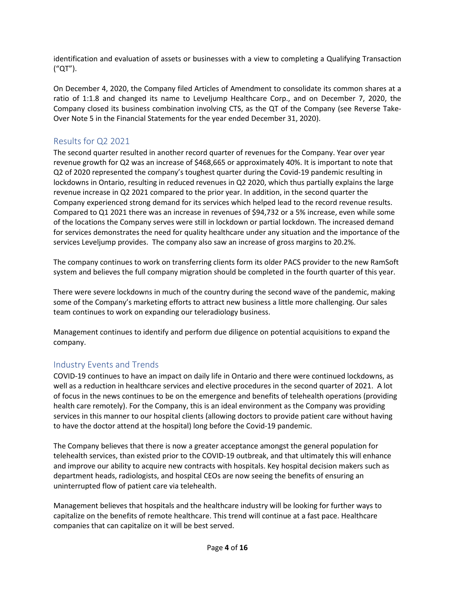identification and evaluation of assets or businesses with a view to completing a Qualifying Transaction ("QT").

On December 4, 2020, the Company filed Articles of Amendment to consolidate its common shares at a ratio of 1:1.8 and changed its name to Leveljump Healthcare Corp., and on December 7, 2020, the Company closed its business combination involving CTS, as the QT of the Company (see Reverse Take-Over Note 5 in the Financial Statements for the year ended December 31, 2020).

# Results for Q2 2021

The second quarter resulted in another record quarter of revenues for the Company. Year over year revenue growth for Q2 was an increase of \$468,665 or approximately 40%. It is important to note that Q2 of 2020 represented the company's toughest quarter during the Covid-19 pandemic resulting in lockdowns in Ontario, resulting in reduced revenues in Q2 2020, which thus partially explains the large revenue increase in Q2 2021 compared to the prior year. In addition, in the second quarter the Company experienced strong demand for its services which helped lead to the record revenue results. Compared to Q1 2021 there was an increase in revenues of \$94,732 or a 5% increase, even while some of the locations the Company serves were still in lockdown or partial lockdown. The increased demand for services demonstrates the need for quality healthcare under any situation and the importance of the services Leveljump provides. The company also saw an increase of gross margins to 20.2%.

The company continues to work on transferring clients form its older PACS provider to the new RamSoft system and believes the full company migration should be completed in the fourth quarter of this year.

There were severe lockdowns in much of the country during the second wave of the pandemic, making some of the Company's marketing efforts to attract new business a little more challenging. Our sales team continues to work on expanding our teleradiology business.

Management continues to identify and perform due diligence on potential acquisitions to expand the company.

# Industry Events and Trends

COVID-19 continues to have an impact on daily life in Ontario and there were continued lockdowns, as well as a reduction in healthcare services and elective procedures in the second quarter of 2021. A lot of focus in the news continues to be on the emergence and benefits of telehealth operations (providing health care remotely). For the Company, this is an ideal environment as the Company was providing services in this manner to our hospital clients (allowing doctors to provide patient care without having to have the doctor attend at the hospital) long before the Covid-19 pandemic.

The Company believes that there is now a greater acceptance amongst the general population for telehealth services, than existed prior to the COVID-19 outbreak, and that ultimately this will enhance and improve our ability to acquire new contracts with hospitals. Key hospital decision makers such as department heads, radiologists, and hospital CEOs are now seeing the benefits of ensuring an uninterrupted flow of patient care via telehealth.

Management believes that hospitals and the healthcare industry will be looking for further ways to capitalize on the benefits of remote healthcare. This trend will continue at a fast pace. Healthcare companies that can capitalize on it will be best served.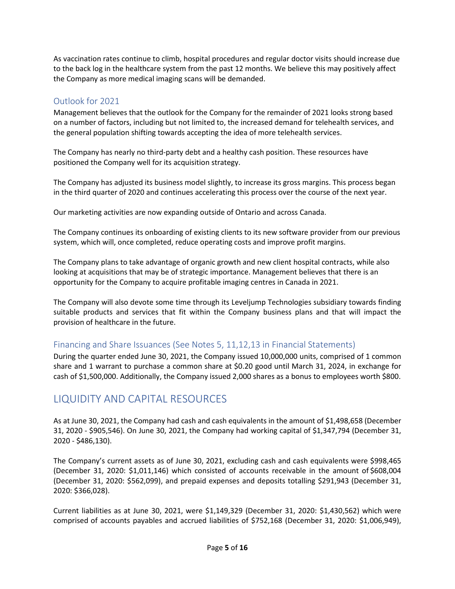As vaccination rates continue to climb, hospital procedures and regular doctor visits should increase due to the back log in the healthcare system from the past 12 months. We believe this may positively affect the Company as more medical imaging scans will be demanded.

# Outlook for 2021

Management believes that the outlook for the Company for the remainder of 2021 looks strong based on a number of factors, including but not limited to, the increased demand for telehealth services, and the general population shifting towards accepting the idea of more telehealth services.

The Company has nearly no third-party debt and a healthy cash position. These resources have positioned the Company well for its acquisition strategy.

The Company has adjusted its business model slightly, to increase its gross margins. This process began in the third quarter of 2020 and continues accelerating this process over the course of the next year.

Our marketing activities are now expanding outside of Ontario and across Canada.

The Company continues its onboarding of existing clients to its new software provider from our previous system, which will, once completed, reduce operating costs and improve profit margins.

The Company plans to take advantage of organic growth and new client hospital contracts, while also looking at acquisitions that may be of strategic importance. Management believes that there is an opportunity for the Company to acquire profitable imaging centres in Canada in 2021.

The Company will also devote some time through its Leveljump Technologies subsidiary towards finding suitable products and services that fit within the Company business plans and that will impact the provision of healthcare in the future.

# Financing and Share Issuances (See Notes 5, 11,12,13 in Financial Statements)

During the quarter ended June 30, 2021, the Company issued 10,000,000 units, comprised of 1 common share and 1 warrant to purchase a common share at \$0.20 good until March 31, 2024, in exchange for cash of \$1,500,000. Additionally, the Company issued 2,000 shares as a bonus to employees worth \$800.

# LIQUIDITY AND CAPITAL RESOURCES

As at June 30, 2021, the Company had cash and cash equivalents in the amount of \$1,498,658 (December 31, 2020 - \$905,546). On June 30, 2021, the Company had working capital of \$1,347,794 (December 31, 2020 - \$486,130).

The Company's current assets as of June 30, 2021, excluding cash and cash equivalents were \$998,465 (December 31, 2020: \$1,011,146) which consisted of accounts receivable in the amount of \$608,004 (December 31, 2020: \$562,099), and prepaid expenses and deposits totalling \$291,943 (December 31, 2020: \$366,028).

Current liabilities as at June 30, 2021, were \$1,149,329 (December 31, 2020: \$1,430,562) which were comprised of accounts payables and accrued liabilities of \$752,168 (December 31, 2020: \$1,006,949),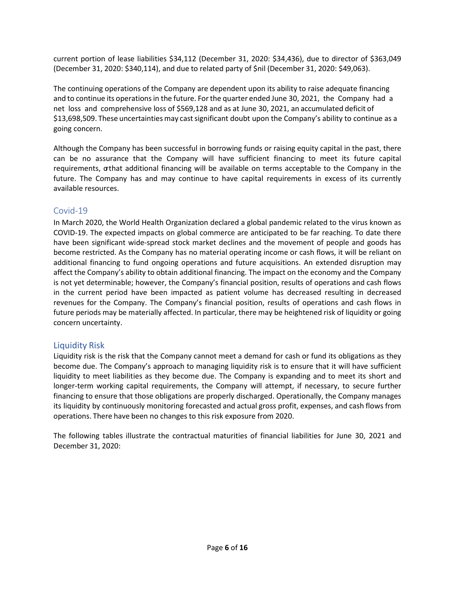current portion of lease liabilities \$34,112 (December 31, 2020: \$34,436), due to director of \$363,049 (December 31, 2020: \$340,114), and due to related party of \$nil (December 31, 2020: \$49,063).

The continuing operations of the Company are dependent upon its ability to raise adequate financing and to continue its operations in the future. For the quarter ended June 30, 2021, the Company had a net loss and comprehensive loss of \$569,128 and as at June 30, 2021, an accumulated deficit of \$13,698,509. These uncertainties may castsignificant doubt upon the Company's ability to continue as a going concern.

Although the Company has been successful in borrowing funds or raising equity capital in the past, there can be no assurance that the Company will have sufficient financing to meet its future capital requirements, orthat additional financing will be available on terms acceptable to the Company in the future. The Company has and may continue to have capital requirements in excess of its currently available resources.

### Covid-19

In March 2020, the World Health Organization declared a global pandemic related to the virus known as COVID-19. The expected impacts on global commerce are anticipated to be far reaching. To date there have been significant wide-spread stock market declines and the movement of people and goods has become restricted. As the Company has no material operating income or cash flows, it will be reliant on additional financing to fund ongoing operations and future acquisitions. An extended disruption may affect the Company's ability to obtain additional financing. The impact on the economy and the Company is not yet determinable; however, the Company's financial position, results of operations and cash flows in the current period have been impacted as patient volume has decreased resulting in decreased revenues for the Company. The Company's financial position, results of operations and cash flows in future periods may be materially affected. In particular, there may be heightened risk of liquidity or going concern uncertainty.

# Liquidity Risk

Liquidity risk is the risk that the Company cannot meet a demand for cash or fund its obligations as they become due. The Company's approach to managing liquidity risk is to ensure that it will have sufficient liquidity to meet liabilities as they become due. The Company is expanding and to meet its short and longer-term working capital requirements, the Company will attempt, if necessary, to secure further financing to ensure that those obligations are properly discharged. Operationally, the Company manages its liquidity by continuously monitoring forecasted and actual gross profit, expenses, and cash flows from operations. There have been no changes to this risk exposure from 2020.

The following tables illustrate the contractual maturities of financial liabilities for June 30, 2021 and December 31, 2020: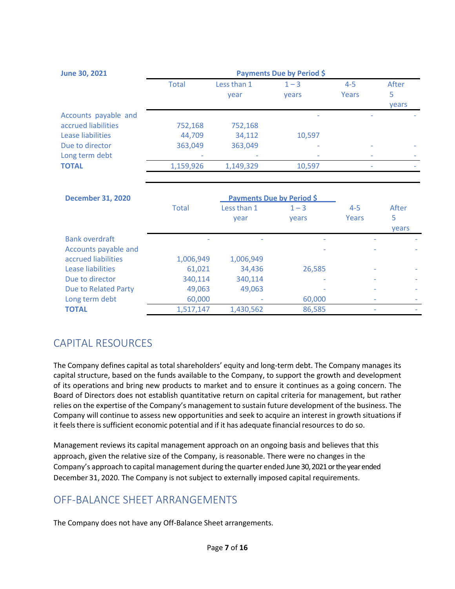| <b>June 30, 2021</b>                        | Payments Due by Period \$ |                     |                  |                  |            |
|---------------------------------------------|---------------------------|---------------------|------------------|------------------|------------|
|                                             | <b>Total</b>              | Less than 1<br>year | $1 - 3$<br>vears | $4 - 5$<br>Years | After<br>5 |
|                                             |                           |                     |                  |                  | years      |
| Accounts payable and<br>accrued liabilities | 752,168                   | 752,168             | ۰                |                  |            |
| Lease liabilities                           | 44,709                    | 34,112              | 10.597           |                  |            |
| Due to director                             | 363,049                   | 363,049             |                  |                  |            |
| Long term debt                              | ٠                         |                     | ٠                |                  |            |
| <b>TOTAL</b>                                | 1,159,926                 | 1,149,329           | 10,597           |                  |            |

| <b>December 31, 2020</b>    |              | <b>Payments Due by Period \$</b> |                  |                  |                            |
|-----------------------------|--------------|----------------------------------|------------------|------------------|----------------------------|
|                             | <b>Total</b> | Less than 1<br>year              | $1 - 3$<br>years | $4 - 5$<br>Years | After<br>5<br><b>vears</b> |
| <b>Bank overdraft</b>       |              |                                  |                  |                  |                            |
| Accounts payable and        |              |                                  |                  |                  |                            |
| accrued liabilities         | 1,006,949    | 1,006,949                        |                  |                  |                            |
| Lease liabilities           | 61,021       | 34,436                           | 26,585           |                  |                            |
| Due to director             | 340,114      | 340,114                          |                  |                  |                            |
| <b>Due to Related Party</b> | 49,063       | 49,063                           |                  |                  |                            |
| Long term debt              | 60,000       |                                  | 60,000           |                  |                            |
| <b>TOTAL</b>                | 1,517,147    | 1,430,562                        | 86,585           |                  |                            |

# CAPITAL RESOURCES

The Company defines capital as total shareholders' equity and long-term debt. The Company manages its capital structure, based on the funds available to the Company, to support the growth and development of its operations and bring new products to market and to ensure it continues as a going concern. The Board of Directors does not establish quantitative return on capital criteria for management, but rather relies on the expertise of the Company's management to sustain future development of the business. The Company will continue to assess new opportunities and seek to acquire an interest in growth situationsif it feels there is sufficient economic potential and if it has adequate financial resources to do so.

Management reviews its capital management approach on an ongoing basis and believes that this approach, given the relative size of the Company, is reasonable. There were no changes in the Company's approach to capital management during the quarter ended June 30, 2021 or the year ended December 31, 2020. The Company is not subject to externally imposed capital requirements.

# OFF-BALANCE SHEET ARRANGEMENTS

The Company does not have any Off-Balance Sheet arrangements.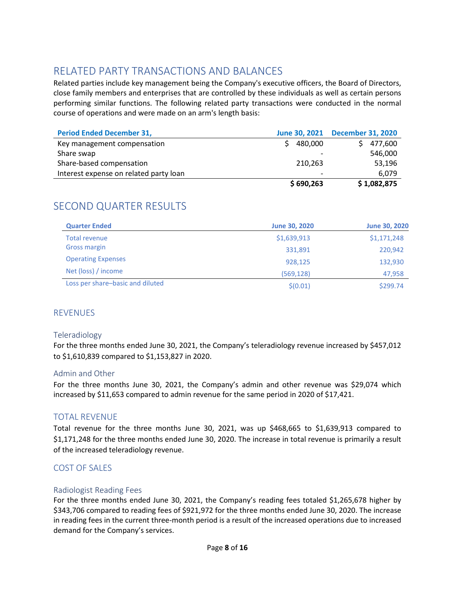# RELATED PARTY TRANSACTIONS AND BALANCES

Related parties include key management being the Company's executive officers, the Board of Directors, close family members and enterprises that are controlled by these individuals as well as certain persons performing similar functions. The following related party transactions were conducted in the normal course of operations and were made on an arm's length basis:

| <b>Period Ended December 31,</b>       |           | June 30, 2021 December 31, 2020 |
|----------------------------------------|-----------|---------------------------------|
| Key management compensation            | 480,000   | 477,600                         |
| Share swap                             |           | 546,000                         |
| Share-based compensation               | 210.263   | 53,196                          |
| Interest expense on related party loan |           | 6.079                           |
|                                        | \$690,263 | \$1,082,875                     |

# SECOND QUARTER RESULTS

| <b>Quarter Ended</b>             | <b>June 30, 2020</b> | <b>June 30, 2020</b> |
|----------------------------------|----------------------|----------------------|
| Total revenue                    | \$1,639,913          | \$1,171,248          |
| <b>Gross margin</b>              | 331,891              | 220,942              |
| <b>Operating Expenses</b>        | 928,125              | 132,930              |
| Net (loss) / income              | (569, 128)           | 47,958               |
| Loss per share-basic and diluted | \$(0.01)             | \$299.74             |

# **REVENUES**

### Teleradiology

For the three months ended June 30, 2021, the Company's teleradiology revenue increased by \$457,012 to \$1,610,839 compared to \$1,153,827 in 2020.

### Admin and Other

For the three months June 30, 2021, the Company's admin and other revenue was \$29,074 which increased by \$11,653 compared to admin revenue for the same period in 2020 of \$17,421.

# TOTAL REVENUE

Total revenue for the three months June 30, 2021, was up \$468,665 to \$1,639,913 compared to \$1,171,248 for the three months ended June 30, 2020. The increase in total revenue is primarily a result of the increased teleradiology revenue.

### COST OF SALES

### Radiologist Reading Fees

For the three months ended June 30, 2021, the Company's reading fees totaled \$1,265,678 higher by \$343,706 compared to reading fees of \$921,972 for the three months ended June 30, 2020. The increase in reading fees in the current three-month period is a result of the increased operations due to increased demand for the Company's services.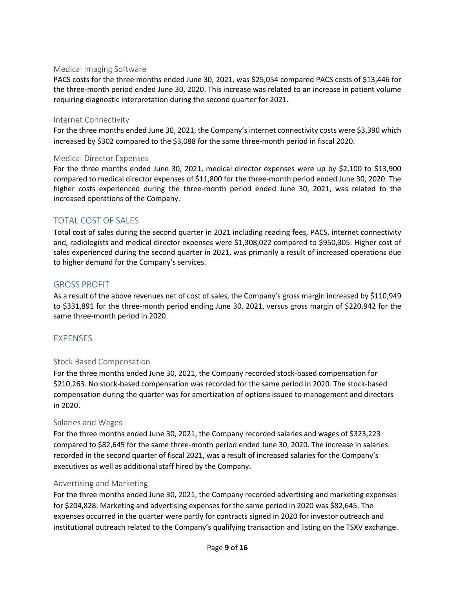### Medical Imaging Software

PACS costs for the three months ended June 30, 2021, was \$25,054 compared PACS costs of \$13,446 for the three-month period ended June 30, 2020. This increase was related to an increase in patient volume requiring diagnostic interpretation during the second quarter for 2021.

### Internet Connectivity

For the three months ended June 30, 2021, the Company's internet connectivity costs were \$3,390 which increased by \$302 compared to the \$3,088 for the same three-month period in fiscal 2020.

### Medical Director Expenses

For the three months ended June 30, 2021, medical director expenses were up by \$2,100 to \$13,900 compared to medical director expenses of \$11,800 for the three-month period ended June 30, 2020. The higher costs experienced during the three-month period ended June 30, 2021, was related to the increased operations of the Company.

# TOTAL COST OF SALES

Total cost of sales during the second quarter in 2021 including reading fees, PACS, internet connectivity and, radiologists and medical director expenses were \$1,308,022 compared to \$950,305. Higher cost of sales experienced during the second quarter in 2021, was primarily a result of increased operations due to higher demand for the Company's services.

### GROSS PROFIT

As a result of the above revenues net of cost of sales, the Company's gross margin increased by \$110,949 to \$331,891 for the three-month period ending June 30, 2021, versus gross margin of \$220,942 for the same three-month period in 2020.

### EXPENSES

### Stock Based Compensation

For the three months ended June 30, 2021, the Company recorded stock-based compensation for \$210,263. No stock-based compensation was recorded for the same period in 2020. The stock-based compensation during the quarter was for amortization of options issued to management and directors in 2020.

### Salaries and Wages

For the three months ended June 30, 2021, the Company recorded salaries and wages of \$323,223 compared to \$82,645 for the same three-month period ended June 30, 2020. The increase in salaries recorded in the second quarter of fiscal 2021, was a result of increased salaries for the Company's executives as well as additional staff hired by the Company.

### Advertising and Marketing

For the three months ended June 30, 2021, the Company recorded advertising and marketing expenses for \$204,828. Marketing and advertising expenses for the same period in 2020 was \$82,645. The expenses occurred in the quarter were partly for contracts signed in 2020 for investor outreach and institutional outreach related to the Company's qualifying transaction and listing on the TSXV exchange.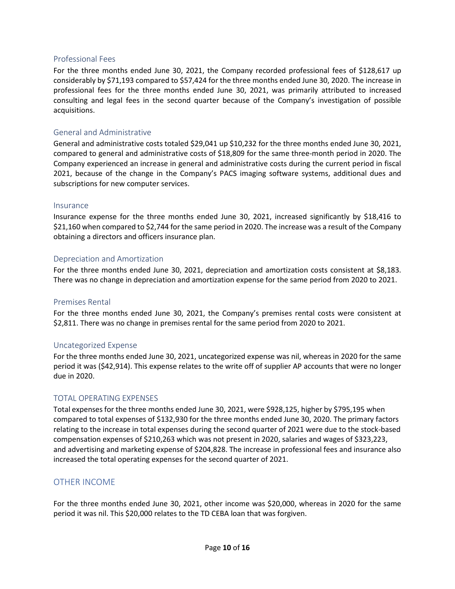### Professional Fees

For the three months ended June 30, 2021, the Company recorded professional fees of \$128,617 up considerably by \$71,193 compared to \$57,424 for the three months ended June 30, 2020. The increase in professional fees for the three months ended June 30, 2021, was primarily attributed to increased consulting and legal fees in the second quarter because of the Company's investigation of possible acquisitions.

### General and Administrative

General and administrative costs totaled \$29,041 up \$10,232 for the three months ended June 30, 2021, compared to general and administrative costs of \$18,809 for the same three-month period in 2020. The Company experienced an increase in general and administrative costs during the current period in fiscal 2021, because of the change in the Company's PACS imaging software systems, additional dues and subscriptions for new computer services.

### Insurance

Insurance expense for the three months ended June 30, 2021, increased significantly by \$18,416 to \$21,160 when compared to \$2,744 for the same period in 2020. The increase was a result of the Company obtaining a directors and officers insurance plan.

### Depreciation and Amortization

For the three months ended June 30, 2021, depreciation and amortization costs consistent at \$8,183. There was no change in depreciation and amortization expense for the same period from 2020 to 2021.

### Premises Rental

For the three months ended June 30, 2021, the Company's premises rental costs were consistent at \$2,811. There was no change in premises rental for the same period from 2020 to 2021.

### Uncategorized Expense

For the three months ended June 30, 2021, uncategorized expense was nil, whereas in 2020 for the same period it was (\$42,914). This expense relates to the write off of supplier AP accounts that were no longer due in 2020.

### TOTAL OPERATING EXPENSES

Total expenses for the three months ended June 30, 2021, were \$928,125, higher by \$795,195 when compared to total expenses of \$132,930 for the three months ended June 30, 2020. The primary factors relating to the increase in total expenses during the second quarter of 2021 were due to the stock-based compensation expenses of \$210,263 which was not present in 2020, salaries and wages of \$323,223, and advertising and marketing expense of \$204,828. The increase in professional fees and insurance also increased the total operating expenses for the second quarter of 2021.

### OTHER INCOME

For the three months ended June 30, 2021, other income was \$20,000, whereas in 2020 for the same period it was nil. This \$20,000 relates to the TD CEBA loan that was forgiven.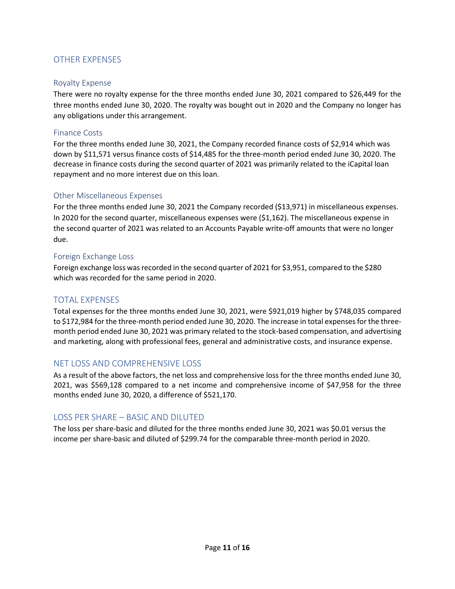# OTHER EXPENSES

### Royalty Expense

There were no royalty expense for the three months ended June 30, 2021 compared to \$26,449 for the three months ended June 30, 2020. The royalty was bought out in 2020 and the Company no longer has any obligations under this arrangement.

### Finance Costs

For the three months ended June 30, 2021, the Company recorded finance costs of \$2,914 which was down by \$11,571 versus finance costs of \$14,485 for the three-month period ended June 30, 2020. The decrease in finance costs during the second quarter of 2021 was primarily related to the iCapital loan repayment and no more interest due on this loan.

### Other Miscellaneous Expenses

For the three months ended June 30, 2021 the Company recorded (\$13,971) in miscellaneous expenses. In 2020 for the second quarter, miscellaneous expenses were (\$1,162). The miscellaneous expense in the second quarter of 2021 was related to an Accounts Payable write-off amounts that were no longer due.

### Foreign Exchange Loss

Foreign exchange loss was recorded in the second quarter of 2021 for \$3,951, compared to the \$280 which was recorded for the same period in 2020.

### TOTAL EXPENSES

Total expenses for the three months ended June 30, 2021, were \$921,019 higher by \$748,035 compared to \$172,984 for the three-month period ended June 30, 2020. The increase in total expenses for the threemonth period ended June 30, 2021 was primary related to the stock-based compensation, and advertising and marketing, along with professional fees, general and administrative costs, and insurance expense.

### NET LOSS AND COMPREHENSIVE LOSS

As a result of the above factors, the net loss and comprehensive loss for the three months ended June 30, 2021, was \$569,128 compared to a net income and comprehensive income of \$47,958 for the three months ended June 30, 2020, a difference of \$521,170.

# LOSS PER SHARE – BASIC AND DILUTED

The loss per share-basic and diluted for the three months ended June 30, 2021 was \$0.01 versus the income per share-basic and diluted of \$299.74 for the comparable three-month period in 2020.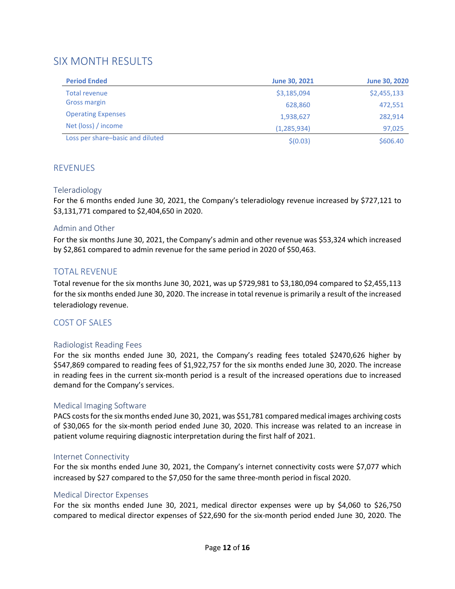# SIX MONTH RESULTS

| <b>Period Ended</b>              | <b>June 30, 2021</b> | <b>June 30, 2020</b> |
|----------------------------------|----------------------|----------------------|
| <b>Total revenue</b>             | \$3,185,094          | \$2,455,133          |
| <b>Gross margin</b>              | 628,860              | 472,551              |
| <b>Operating Expenses</b>        | 1,938,627            | 282,914              |
| Net (loss) / income              | (1, 285, 934)        | 97,025               |
| Loss per share-basic and diluted | \$(0.03)             | \$606.40             |

### **REVENUES**

### Teleradiology

For the 6 months ended June 30, 2021, the Company's teleradiology revenue increased by \$727,121 to \$3,131,771 compared to \$2,404,650 in 2020.

### Admin and Other

For the six months June 30, 2021, the Company's admin and other revenue was \$53,324 which increased by \$2,861 compared to admin revenue for the same period in 2020 of \$50,463.

# TOTAL REVENUE

Total revenue for the six months June 30, 2021, was up \$729,981 to \$3,180,094 compared to \$2,455,113 for the six months ended June 30, 2020. The increase in total revenue is primarily a result of the increased teleradiology revenue.

### COST OF SALES

### Radiologist Reading Fees

For the six months ended June 30, 2021, the Company's reading fees totaled \$2470,626 higher by \$547,869 compared to reading fees of \$1,922,757 for the six months ended June 30, 2020. The increase in reading fees in the current six-month period is a result of the increased operations due to increased demand for the Company's services.

### Medical Imaging Software

PACS costs for the six months ended June 30, 2021, was \$51,781 compared medical images archiving costs of \$30,065 for the six-month period ended June 30, 2020. This increase was related to an increase in patient volume requiring diagnostic interpretation during the first half of 2021.

### Internet Connectivity

For the six months ended June 30, 2021, the Company's internet connectivity costs were \$7,077 which increased by \$27 compared to the \$7,050 for the same three-month period in fiscal 2020.

### Medical Director Expenses

For the six months ended June 30, 2021, medical director expenses were up by \$4,060 to \$26,750 compared to medical director expenses of \$22,690 for the six-month period ended June 30, 2020. The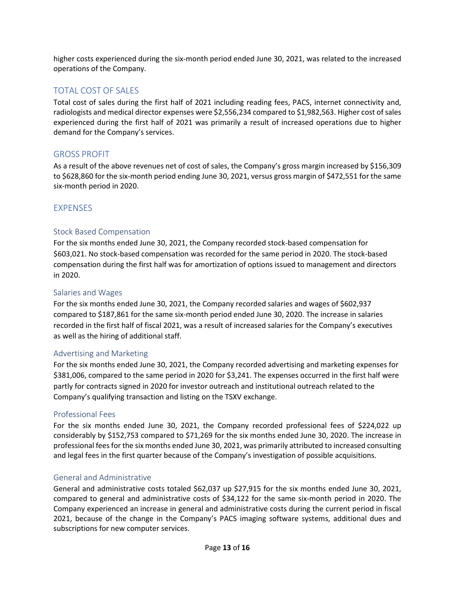higher costs experienced during the six-month period ended June 30, 2021, was related to the increased operations of the Company.

# TOTAL COST OF SALES

Total cost of sales during the first half of 2021 including reading fees, PACS, internet connectivity and, radiologists and medical director expenses were \$2,556,234 compared to \$1,982,563. Higher cost of sales experienced during the first half of 2021 was primarily a result of increased operations due to higher demand for the Company's services.

### GROSS PROFIT

As a result of the above revenues net of cost of sales, the Company's gross margin increased by \$156,309 to \$628,860 for the six-month period ending June 30, 2021, versus gross margin of \$472,551 for the same six-month period in 2020.

# **EXPENSES**

### Stock Based Compensation

For the six months ended June 30, 2021, the Company recorded stock-based compensation for \$603,021. No stock-based compensation was recorded for the same period in 2020. The stock-based compensation during the first half was for amortization of options issued to management and directors in 2020.

### Salaries and Wages

For the six months ended June 30, 2021, the Company recorded salaries and wages of \$602,937 compared to \$187,861 for the same six-month period ended June 30, 2020. The increase in salaries recorded in the first half of fiscal 2021, was a result of increased salaries for the Company's executives as well as the hiring of additional staff.

### Advertising and Marketing

For the six months ended June 30, 2021, the Company recorded advertising and marketing expenses for \$381,006, compared to the same period in 2020 for \$3,241. The expenses occurred in the first half were partly for contracts signed in 2020 for investor outreach and institutional outreach related to the Company's qualifying transaction and listing on the TSXV exchange.

### Professional Fees

For the six months ended June 30, 2021, the Company recorded professional fees of \$224,022 up considerably by \$152,753 compared to \$71,269 for the six months ended June 30, 2020. The increase in professional fees for the six months ended June 30, 2021, was primarily attributed to increased consulting and legal fees in the first quarter because of the Company's investigation of possible acquisitions.

### General and Administrative

General and administrative costs totaled \$62,037 up \$27,915 for the six months ended June 30, 2021, compared to general and administrative costs of \$34,122 for the same six-month period in 2020. The Company experienced an increase in general and administrative costs during the current period in fiscal 2021, because of the change in the Company's PACS imaging software systems, additional dues and subscriptions for new computer services.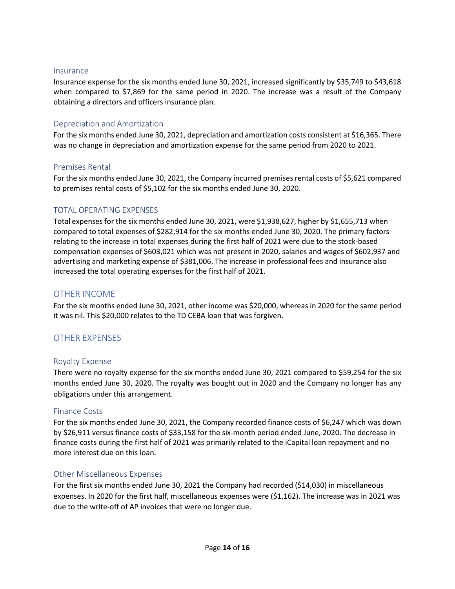#### Insurance

Insurance expense for the six months ended June 30, 2021, increased significantly by \$35,749 to \$43,618 when compared to \$7,869 for the same period in 2020. The increase was a result of the Company obtaining a directors and officers insurance plan.

#### Depreciation and Amortization

For the six months ended June 30, 2021, depreciation and amortization costs consistent at \$16,365. There was no change in depreciation and amortization expense for the same period from 2020 to 2021.

### Premises Rental

For the six months ended June 30, 2021, the Company incurred premises rental costs of \$5,621 compared to premises rental costs of \$5,102 for the six months ended June 30, 2020.

### TOTAL OPERATING EXPENSES

Total expenses for the six months ended June 30, 2021, were \$1,938,627, higher by \$1,655,713 when compared to total expenses of \$282,914 for the six months ended June 30, 2020. The primary factors relating to the increase in total expenses during the first half of 2021 were due to the stock-based compensation expenses of \$603,021 which was not present in 2020, salaries and wages of \$602,937 and advertising and marketing expense of \$381,006. The increase in professional fees and insurance also increased the total operating expenses for the first half of 2021.

### OTHER INCOME

For the six months ended June 30, 2021, other income was \$20,000, whereas in 2020 for the same period it was nil. This \$20,000 relates to the TD CEBA loan that was forgiven.

### OTHER EXPENSES

### Royalty Expense

There were no royalty expense for the six months ended June 30, 2021 compared to \$59,254 for the six months ended June 30, 2020. The royalty was bought out in 2020 and the Company no longer has any obligations under this arrangement.

### Finance Costs

For the six months ended June 30, 2021, the Company recorded finance costs of \$6,247 which was down by \$26,911 versus finance costs of \$33,158 for the six-month period ended June, 2020. The decrease in finance costs during the first half of 2021 was primarily related to the iCapital loan repayment and no more interest due on this loan.

### Other Miscellaneous Expenses

For the first six months ended June 30, 2021 the Company had recorded (\$14,030) in miscellaneous expenses. In 2020 for the first half, miscellaneous expenses were (\$1,162). The increase was in 2021 was due to the write-off of AP invoices that were no longer due.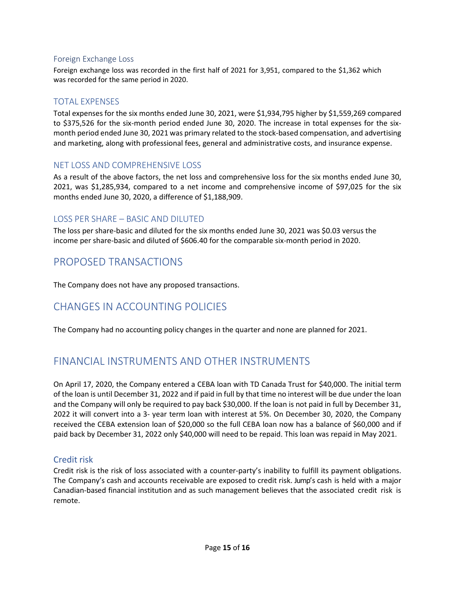### Foreign Exchange Loss

Foreign exchange loss was recorded in the first half of 2021 for 3,951, compared to the \$1,362 which was recorded for the same period in 2020.

### TOTAL EXPENSES

Total expenses for the six months ended June 30, 2021, were \$1,934,795 higher by \$1,559,269 compared to \$375,526 for the six-month period ended June 30, 2020. The increase in total expenses for the sixmonth period ended June 30, 2021 was primary related to the stock-based compensation, and advertising and marketing, along with professional fees, general and administrative costs, and insurance expense.

### NET LOSS AND COMPREHENSIVE LOSS

As a result of the above factors, the net loss and comprehensive loss for the six months ended June 30, 2021, was \$1,285,934, compared to a net income and comprehensive income of \$97,025 for the six months ended June 30, 2020, a difference of \$1,188,909.

### LOSS PER SHARE – BASIC AND DILUTED

The loss per share-basic and diluted for the six months ended June 30, 2021 was \$0.03 versus the income per share-basic and diluted of \$606.40 for the comparable six-month period in 2020.

# PROPOSED TRANSACTIONS

The Company does not have any proposed transactions.

# CHANGES IN ACCOUNTING POLICIES

The Company had no accounting policy changes in the quarter and none are planned for 2021.

# FINANCIAL INSTRUMENTS AND OTHER INSTRUMENTS

On April 17, 2020, the Company entered a CEBA loan with TD Canada Trust for \$40,000. The initial term of the loan is until December 31, 2022 and if paid in full by that time no interest will be due under the loan and the Company will only be required to pay back \$30,000. If the loan is not paid in full by December 31, 2022 it will convert into a 3- year term loan with interest at 5%. On December 30, 2020, the Company received the CEBA extension loan of \$20,000 so the full CEBA loan now has a balance of \$60,000 and if paid back by December 31, 2022 only \$40,000 will need to be repaid. This loan was repaid in May 2021.

### Credit risk

Credit risk is the risk of loss associated with a counter-party's inability to fulfill its payment obligations. The Company's cash and accounts receivable are exposed to credit risk. Jump's cash is held with a major Canadian-based financial institution and as such management believes that the associated credit risk is remote.